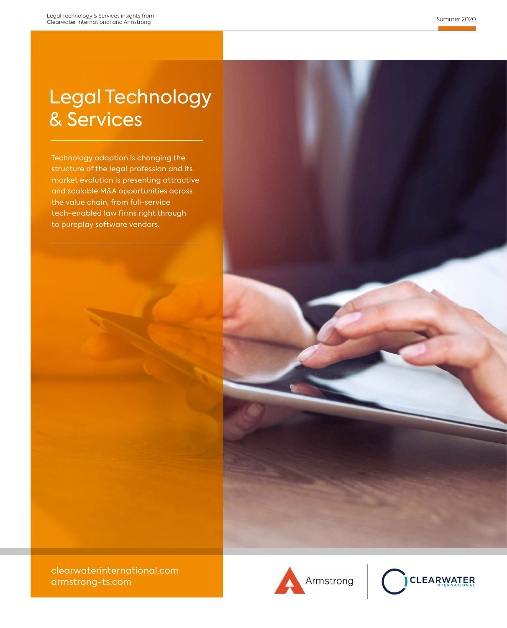## Legal Technology & Services

Technology adoption is changing the structure of the legal profession and its market evolution is presenting attractive and scalable M&A opportunities across the value chain, from full-service tech-enabled law firms right through to pureplay software vendors.





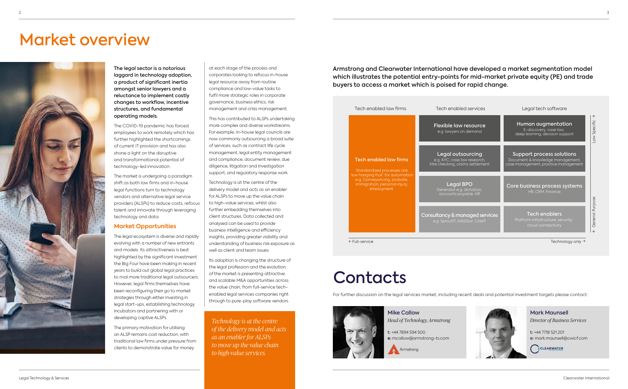# Market overview



The legal sector is a notorious laggard in technology adoption, a product of significant inertia amongst senior lawyers and a reluctance to implement costly changes to workflow, incentive structures, and fundamental operating models.

The COVID-19 pandemic has forced employees to work remotely which has further highlighted the shortcomings of current IT provision and has also shone a light on the disruptive and transformational potential of technology-led innovation.

The market is undergoing a paradigm shift as both law firms and in-house legal functions turn to technology vendors and alternative legal service providers (ALSPs) to reduce costs, refocus talent and innovate through leveraging technology and data.

### **Market Opportunities**

The legal ecosystem is diverse and rapidly evolving with a number of new entrants and models. Its attractiveness is best highlighted by the significant investment the Big Four have been making in recent years to build out global legal practices to rival more traditional legal outsourcers. However, legal firms themselves have been reconfiguring their go to market strategies through either investing in legal start-ups, establishing technology incubators and partnering with or developing captive ALSPs.

The primary motivation for utilising an ALSP remains cost reduction, with traditional law firms under pressure from clients to demonstrate value for money

at each stage of the process and corporates looking to refocus in-house legal resource away from routine compliance and low-value tasks to fulfil more strategic roles in corporate governance, business ethics, risk management and crisis management.

This has contributed to ALSPs undertaking more complex and diverse workstreams. For example, in-house legal councils are now commonly outsourcing a broad suite of services, such as contract life cycle management, legal entity management and compliance, document review, due diligence, litigation and investigation support, and regulatory response work.

Technology is at the centre of the delivery model and acts as an enabler for ALSPs to move up the value chain to high-value services, whilst also further embedding themselves into client structures. Data collected and analysed can be used to provide business intelligence and efficiency insights, providing greater visibility and understanding of business risk exposure as well as client and team issues.

Its adoption is changing the structure of the legal profession and the evolution of the market is presenting attractive and scalable M&A opportunities across the value chain, from full-service techenabled legal services companies right through to pure-play software vendors.

| Tech enabled law firms                                                                                                                                                    | Tech enabled services                                                                         | Legal tech software                                                                                     |  |
|---------------------------------------------------------------------------------------------------------------------------------------------------------------------------|-----------------------------------------------------------------------------------------------|---------------------------------------------------------------------------------------------------------|--|
| Tech enabled law firms<br>Standardised processes are<br>'low hanging fruit' for automation<br>e.g. Conveyancing, probate,<br>immigration, personal injury,<br>employment. | Flexible law resource<br>e.g. lawyers on demand                                               | ↑<br>Law Specific<br>Human augmentation<br>E-discovery, case law,<br>deep learning, decision support    |  |
|                                                                                                                                                                           | <b>Legal outsourcing</b><br>e.g. KYC, case law research,<br>title checking, claims settlement | Support process solutions<br>Document & knowledge management,<br>case management, practice management   |  |
|                                                                                                                                                                           | <b>Legal BPO</b><br>Generalist e.g. dictation,<br>accounts payable, HR                        | Core business process systems<br>HR. CRM. Finance                                                       |  |
|                                                                                                                                                                           | Consultancy & managed services<br>e.g. SproutIT, NASStar, CirleIT                             | General Purpose<br><b>Tech enablers</b><br>Platform infastructure, security,<br>cloud connectivity<br>↓ |  |
| ← Full-service                                                                                                                                                            |                                                                                               | Technology only $\rightarrow$                                                                           |  |





# **Contacts**

Armstrong and Clearwater International have developed a market segmentation model which illustrates the potential entry-points for mid-market private equity (PE) and trade buyers to access a market which is poised for rapid change.

> Mike Callow *Head of Technology, Armstrong*

t: +44 7894 594 500

e: mcallow@armstrong-ts.com

Armstrong

Mark Maunsell *Director of Business Services* t: +44 7718 521 201

e: mark.maunsell@cwicf.com

CLEARWATER

For further discussion on the legal services market, including recent deals and potential investment targets please contact:



*Technology is at the centre of the delivery model and acts as an enabler for ALSPs to move up the value chain to high-value services.*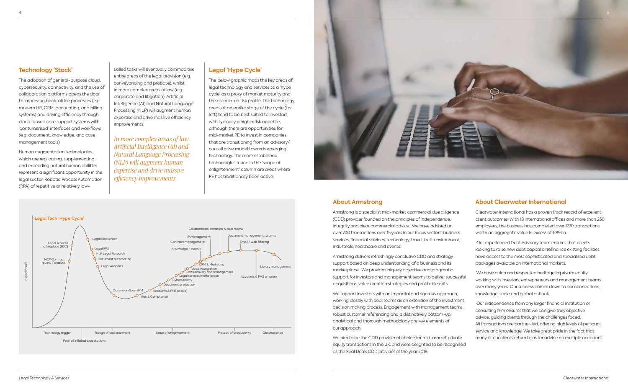### **About Armstrong**

Armstrong is a specialist mid-market commercial due diligence (CDD) provider founded on the principles of independence, integrity and clear commercial advice. We have advised on over 700 transactions over 15 years in our focus sectors: business services, financial services, technology, travel, built environment, industrials, healthcare and events.

We support investors with an impartial and rigorous approach, working closely with deal teams as an extension of the investment decision making process. Engagement with management teams, robust customer referencing and a distinctively bottom-up, analytical and thorough methodology are key elements of our approach.

Armstrong delivers refreshingly conclusive CDD and strategy support based on deep understanding of a business and its marketplace. We provide uniquely objective and pragmatic support for investors and management teams to deliver successful acquisitions, value creation strategies and profitable exits.

We aim to be the CDD provider of choice for mid-market private equity transactions in the UK, and were delighted to be recognised as the Real Deals CDD provider of the year 2019.

## **About Clearwater International**

Clearwater International has a proven track record of excellent client outcomes. With 18 international offices and more than 250 employees, the business has completed over 1770 transactions worth an aggregate value in excess of €89bn.

 Our experienced Debt Advisory team ensures that clients looking to raise new debt capital or refinance existing facilities have access to the most sophisticated and specialised debt packages available on international markets.

 We have a rich and respected heritage in private equity, working with investors, entrepreneurs and management teams over many years. Our success comes down to our connections, knowledge, scale and global outlook.

 Our independence from any larger financial institution or consulting firm ensures that we can give truly objective advice, guiding clients through the challenges faced. All transactions are partner-led, offering high levels of personal service and knowledge. We take great pride in the fact that many of our clients return to us for advice on multiple occasions.

## **Technology 'Stack'**

The adoption of general-purpose cloud, cybersecurity, connectivity, and the use of collaboration platforms opens the door to improving back-office processes (e.g. modern HR, CRM, accounting, and billing systems) and driving efficiency through cloud-based core support systems with 'consumerised' interfaces and workflows (e.g. document, knowledge, and case management tools).

Human augmentation technologies which are replicating, supplementing and exceeding natural human abilities represent a significant opportunity in the legal sector. Robotic Process Automation (RPA) of repetitive or relatively low-





skilled tasks will eventually commoditise entire areas of the legal provision (e.g. conveyancing and probate), whilst in more complex areas of law (e.g. corporate and litigation), Artificial Intelligence (AI) and Natural Language Processing (NLP) will augment human expertise and drive massive efficiency improvements.

## **Legal 'Hype Cycle'**

The below graphic maps the key areas of legal technology and services to a 'hype cycle' as a proxy of market maturity and the associated risk profile. The technology areas at an earlier stage of the cycle (far left) tend to be best suited to investors with typically a higher risk appetite, although there are opportunities for mid-market PE to invest in companies that are transitioning from an advisory/ consultative model towards emerging technology. The more established technologies found in the 'scope of enlightenment' column are areas where PE has traditionally been active.

*In more complex areas of law Artificial Intelligence (AI) and Natural Language Processing (NLP) will augment human expertise and drive massive efficiency improvements.*